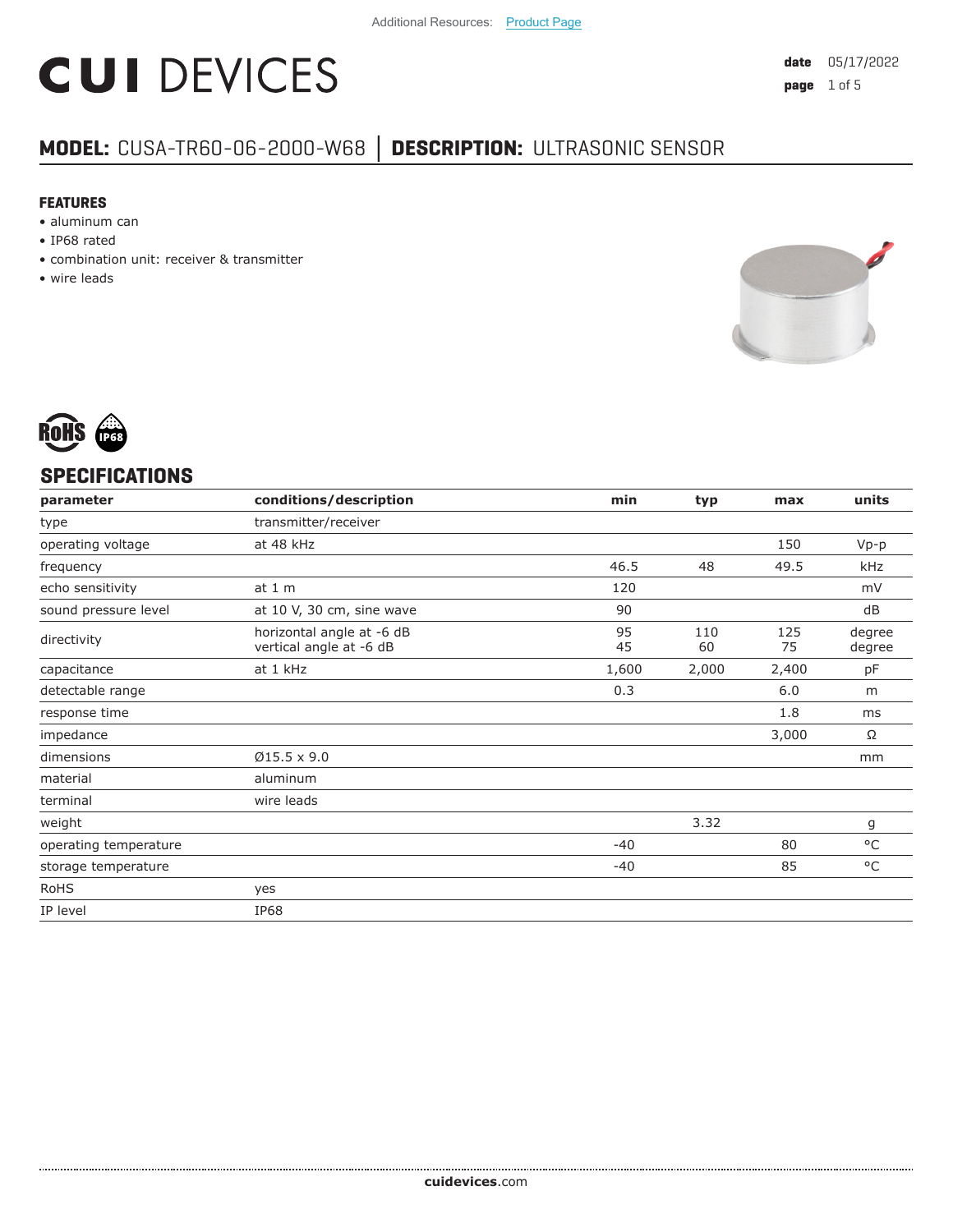# **CUI DEVICES**

### **MODEL:** CUSA-TR60-06-2000-W68 **│ DESCRIPTION:** ULTRASONIC SENSOR

#### **FEATURES**

- aluminum can
- IP68 rated
- combination unit: receiver & transmitter
- wire leads





#### **SPECIFICATIONS**

| parameter             | conditions/description                               | min      | typ       | max       | units            |
|-----------------------|------------------------------------------------------|----------|-----------|-----------|------------------|
| type                  | transmitter/receiver                                 |          |           |           |                  |
| operating voltage     | at 48 kHz                                            |          |           | 150       | $Vp-p$           |
| frequency             |                                                      | 46.5     | 48        | 49.5      | kHz              |
| echo sensitivity      | at $1m$                                              | 120      |           |           | mV               |
| sound pressure level  | at 10 V, 30 cm, sine wave                            | 90       |           |           | dB               |
| directivity           | horizontal angle at -6 dB<br>vertical angle at -6 dB | 95<br>45 | 110<br>60 | 125<br>75 | degree<br>degree |
| capacitance           | at 1 kHz                                             | 1,600    | 2,000     | 2,400     | pF               |
| detectable range      |                                                      | 0.3      |           | 6.0       | m                |
| response time         |                                                      |          |           | 1.8       | ms               |
| impedance             |                                                      |          |           | 3,000     | Ω                |
| dimensions            | $Ø15.5 \times 9.0$                                   |          |           |           | mm               |
| material              | aluminum                                             |          |           |           |                  |
| terminal              | wire leads                                           |          |           |           |                  |
| weight                |                                                      |          | 3.32      |           | g                |
| operating temperature |                                                      | $-40$    |           | 80        | $^{\circ}$ C     |
| storage temperature   |                                                      | $-40$    |           | 85        | $^{\circ}$ C     |
| <b>RoHS</b>           | yes                                                  |          |           |           |                  |
| IP level              | IP68                                                 |          |           |           |                  |
|                       |                                                      |          |           |           |                  |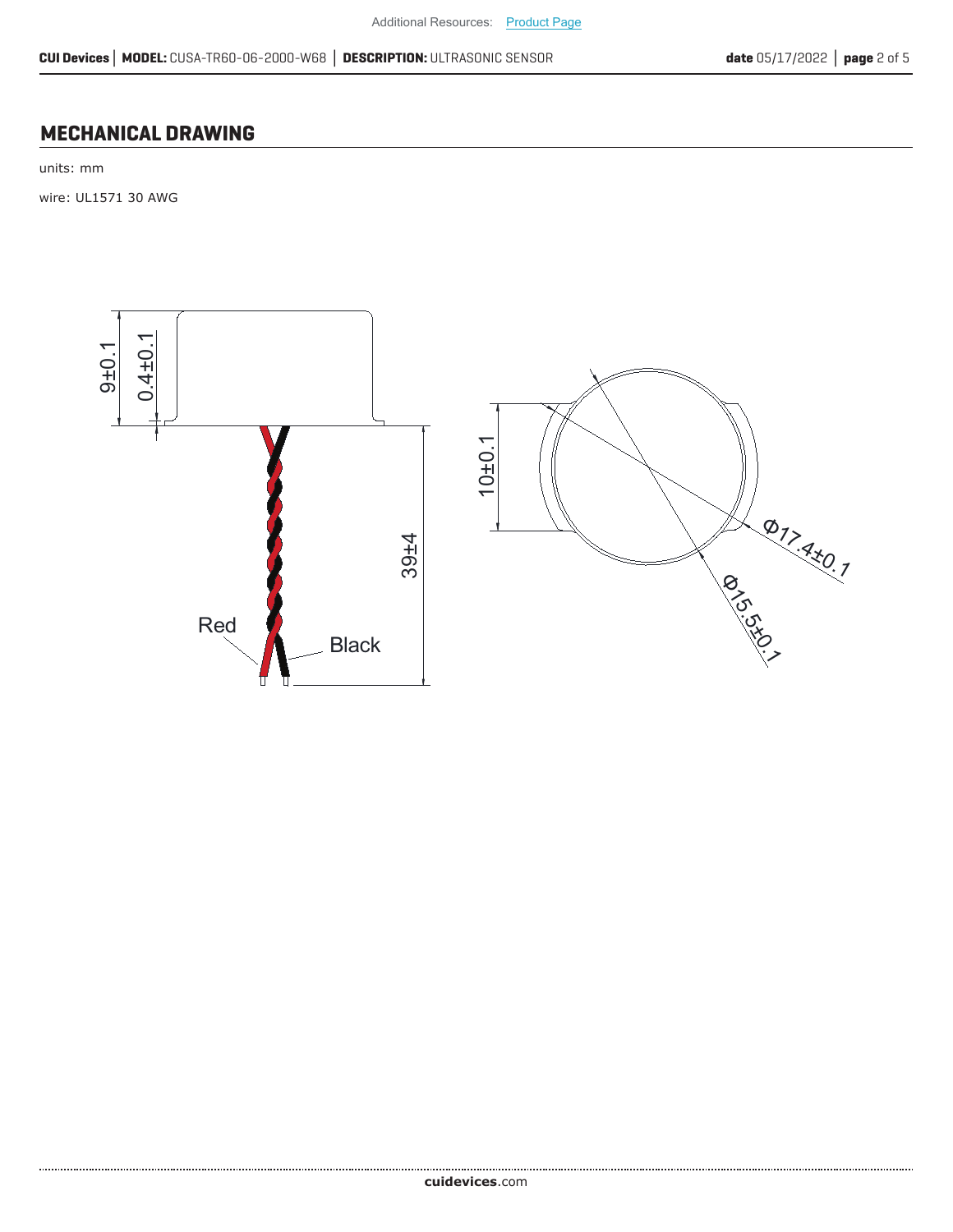#### **MECHANICAL DRAWING**

units: mm

wire: UL1571 30 AWG



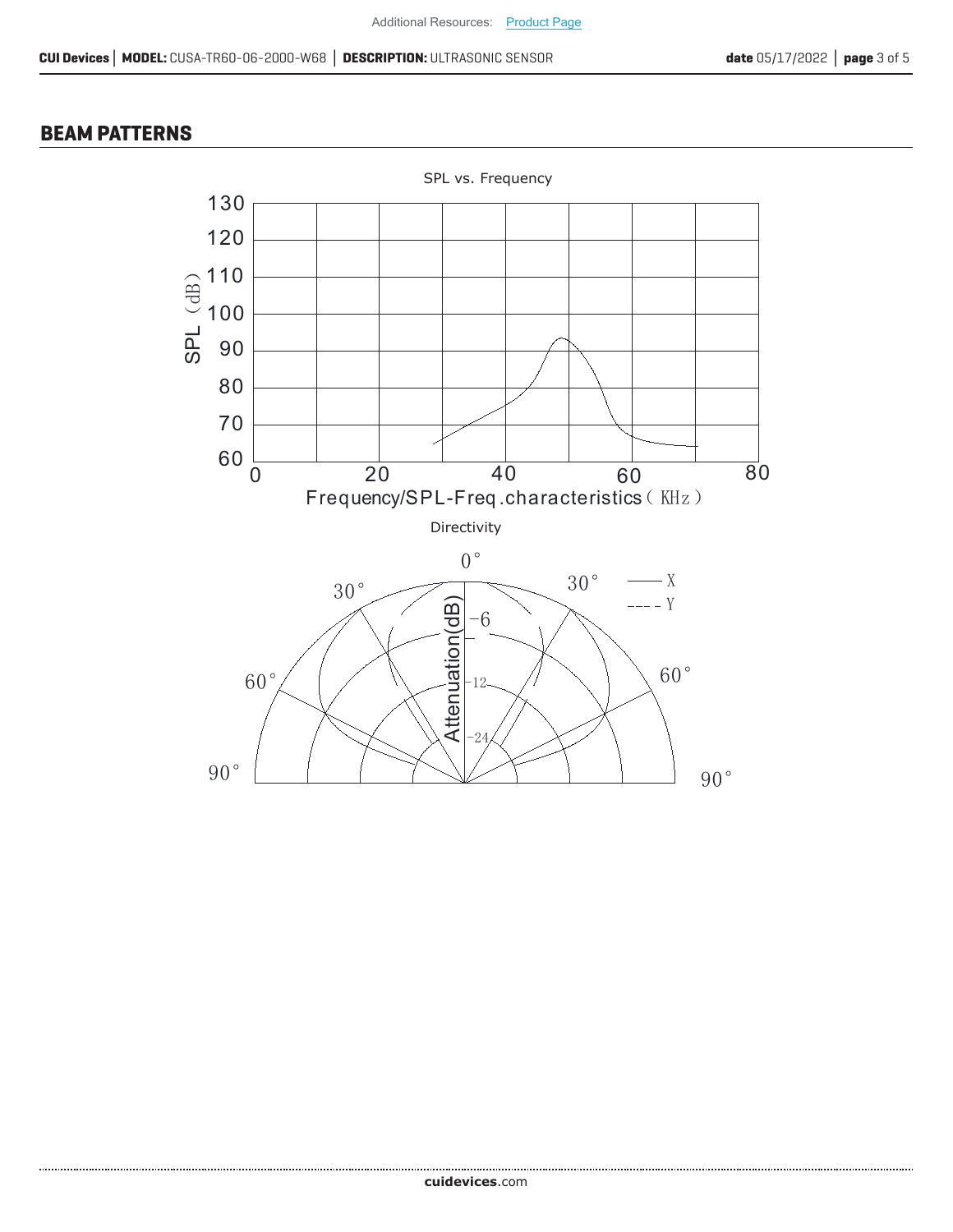#### **BEAM PATTERNS**

......................

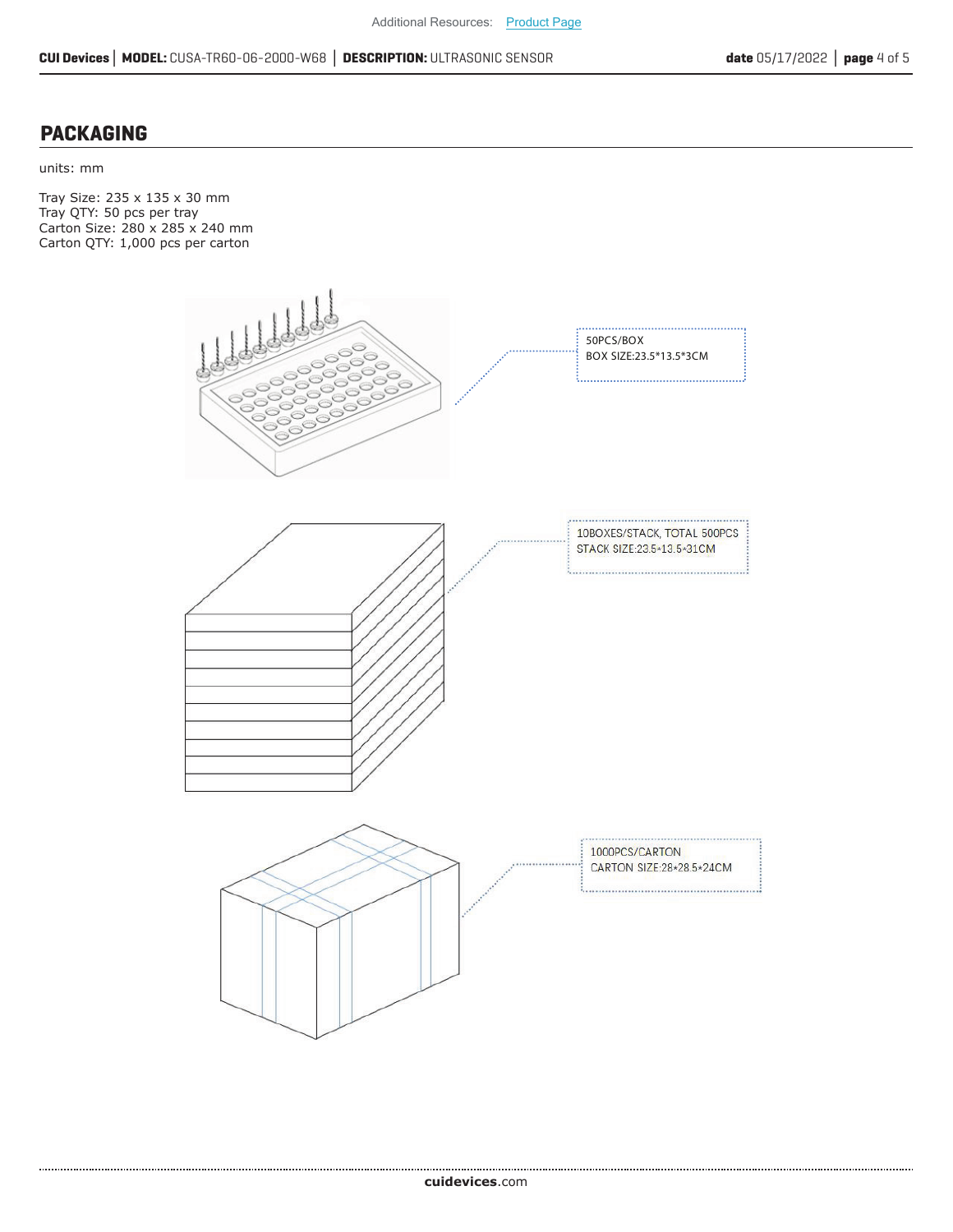#### **PACKAGING**

units: mm

Tray Size: 235 x 135 x 30 mm Tray QTY: 50 pcs per tray Carton Size: 280 x 285 x 240 mm Carton QTY: 1,000 pcs per carton